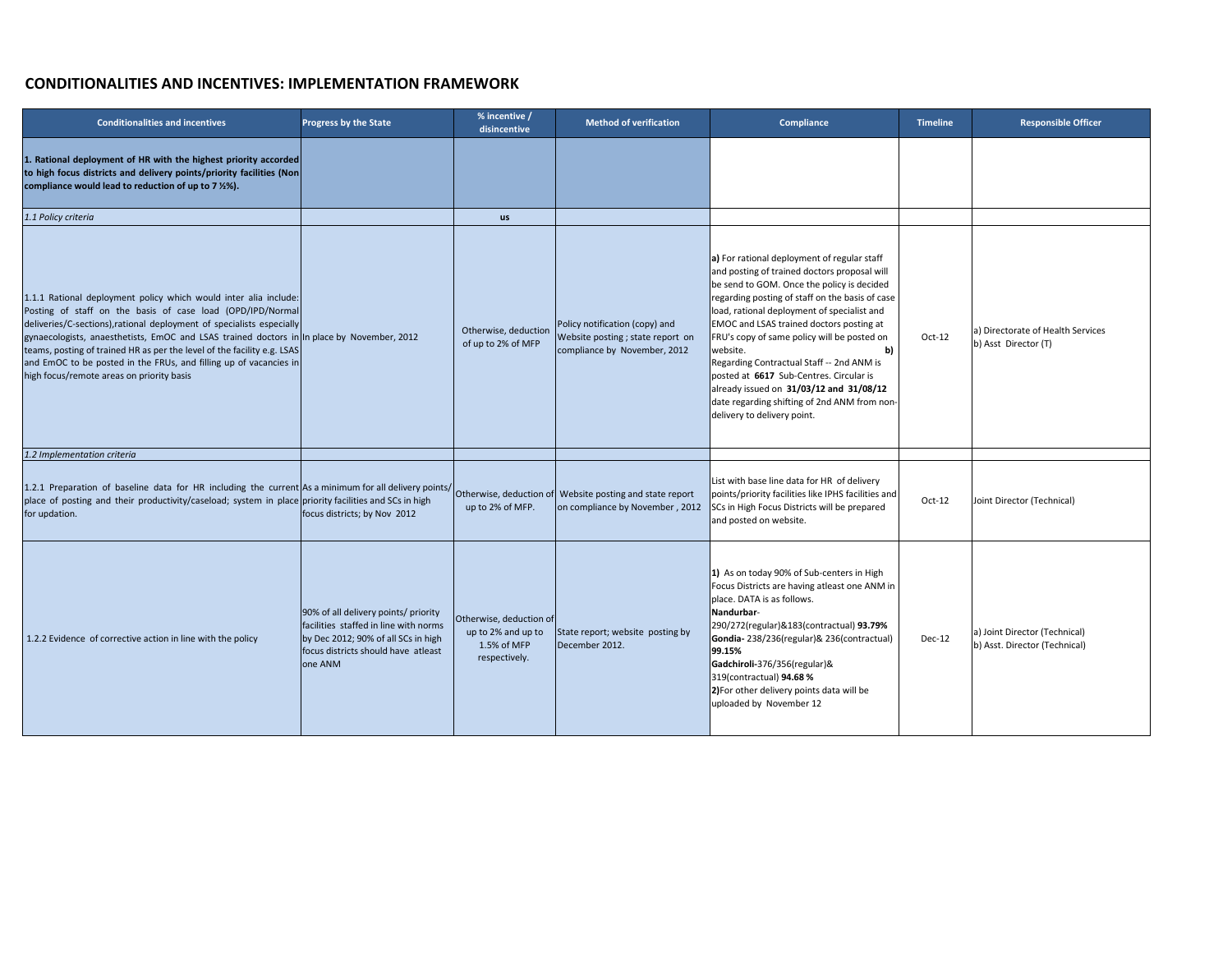## **CONDITIONALITIES AND INCENTIVES: IMPLEMENTATION FRAMEWORK**

| <b>Conditionalities and incentives</b>                                                                                                                                                                                                                                                                                                                                                                                                                                                             | <b>Progress by the State</b>                                                                                                                                           | % incentive /<br>disincentive                                                 | <b>Method of verification</b>                                                                       | <b>Compliance</b>                                                                                                                                                                                                                                                                                                                                                                                                                                                                                                                                                                           | <b>Timeline</b> | <b>Responsible Officer</b>                                     |
|----------------------------------------------------------------------------------------------------------------------------------------------------------------------------------------------------------------------------------------------------------------------------------------------------------------------------------------------------------------------------------------------------------------------------------------------------------------------------------------------------|------------------------------------------------------------------------------------------------------------------------------------------------------------------------|-------------------------------------------------------------------------------|-----------------------------------------------------------------------------------------------------|---------------------------------------------------------------------------------------------------------------------------------------------------------------------------------------------------------------------------------------------------------------------------------------------------------------------------------------------------------------------------------------------------------------------------------------------------------------------------------------------------------------------------------------------------------------------------------------------|-----------------|----------------------------------------------------------------|
| 1. Rational deployment of HR with the highest priority accorded<br>to high focus districts and delivery points/priority facilities (Non<br>compliance would lead to reduction of up to 7 %%).                                                                                                                                                                                                                                                                                                      |                                                                                                                                                                        |                                                                               |                                                                                                     |                                                                                                                                                                                                                                                                                                                                                                                                                                                                                                                                                                                             |                 |                                                                |
| 1.1 Policy criteria                                                                                                                                                                                                                                                                                                                                                                                                                                                                                |                                                                                                                                                                        | <b>US</b>                                                                     |                                                                                                     |                                                                                                                                                                                                                                                                                                                                                                                                                                                                                                                                                                                             |                 |                                                                |
| 1.1.1 Rational deployment policy which would inter alia include:<br>Posting of staff on the basis of case load (OPD/IPD/Normal<br>deliveries/C-sections), rational deployment of specialists especially<br>gynaecologists, anaesthetists, EmOC and LSAS trained doctors in In place by November, 2012<br>teams, posting of trained HR as per the level of the facility e.g. LSAS<br>and EmOC to be posted in the FRUs, and filling up of vacancies in<br>high focus/remote areas on priority basis |                                                                                                                                                                        | Otherwise, deduction<br>of up to 2% of MFP                                    | Policy notification (copy) and<br>Website posting ; state report on<br>compliance by November, 2012 | a) For rational deployment of regular staff<br>and posting of trained doctors proposal will<br>be send to GOM. Once the policy is decided<br>regarding posting of staff on the basis of case<br>load, rational deployment of specialist and<br><b>EMOC and LSAS trained doctors posting at</b><br>FRU's copy of same policy will be posted on<br>website.<br>$\mathbf{b}$<br>Regarding Contractual Staff -- 2nd ANM is<br>posted at 6617 Sub-Centres. Circular is<br>already issued on 31/03/12 and 31/08/12<br>date regarding shifting of 2nd ANM from non-<br>delivery to delivery point. | Oct-12          | a) Directorate of Health Services<br>b) Asst Director (T)      |
| 1.2 Implementation criteria                                                                                                                                                                                                                                                                                                                                                                                                                                                                        |                                                                                                                                                                        |                                                                               |                                                                                                     |                                                                                                                                                                                                                                                                                                                                                                                                                                                                                                                                                                                             |                 |                                                                |
| 1.2.1 Preparation of baseline data for HR including the current As a minimum for all delivery points/ Otherwise, deduction of Website posting and state report<br>place of posting and their productivity/caseload; system in place priority facilities and SCs in high<br>for updation.                                                                                                                                                                                                           | focus districts; by Nov 2012                                                                                                                                           | up to 2% of MFP.                                                              | on compliance by November, 2012                                                                     | List with base line data for HR of delivery<br>points/priority facilities like IPHS facilities and<br>SCs in High Focus Districts will be prepared<br>and posted on website.                                                                                                                                                                                                                                                                                                                                                                                                                | Oct-12          | Joint Director (Technical)                                     |
| 1.2.2 Evidence of corrective action in line with the policy                                                                                                                                                                                                                                                                                                                                                                                                                                        | 90% of all delivery points/ priority<br>facilities staffed in line with norms<br>by Dec 2012; 90% of all SCs in high<br>focus districts should have atleast<br>one ANM | Otherwise, deduction of<br>up to 2% and up to<br>1.5% of MFP<br>respectively. | State report; website posting by<br>December 2012.                                                  | 1) As on today 90% of Sub-centers in High<br>Focus Districts are having atleast one ANM in<br>place. DATA is as follows.<br>Nandurbar-<br>290/272(regular)&183(contractual) 93.79%<br>Gondia-238/236(regular)& 236(contractual)<br>99.15%<br>Gadchiroli-376/356(regular)&<br>319(contractual) 94.68 %<br>2) For other delivery points data will be<br>uploaded by November 12                                                                                                                                                                                                               | $Dec-12$        | a) Joint Director (Technical)<br>b) Asst. Director (Technical) |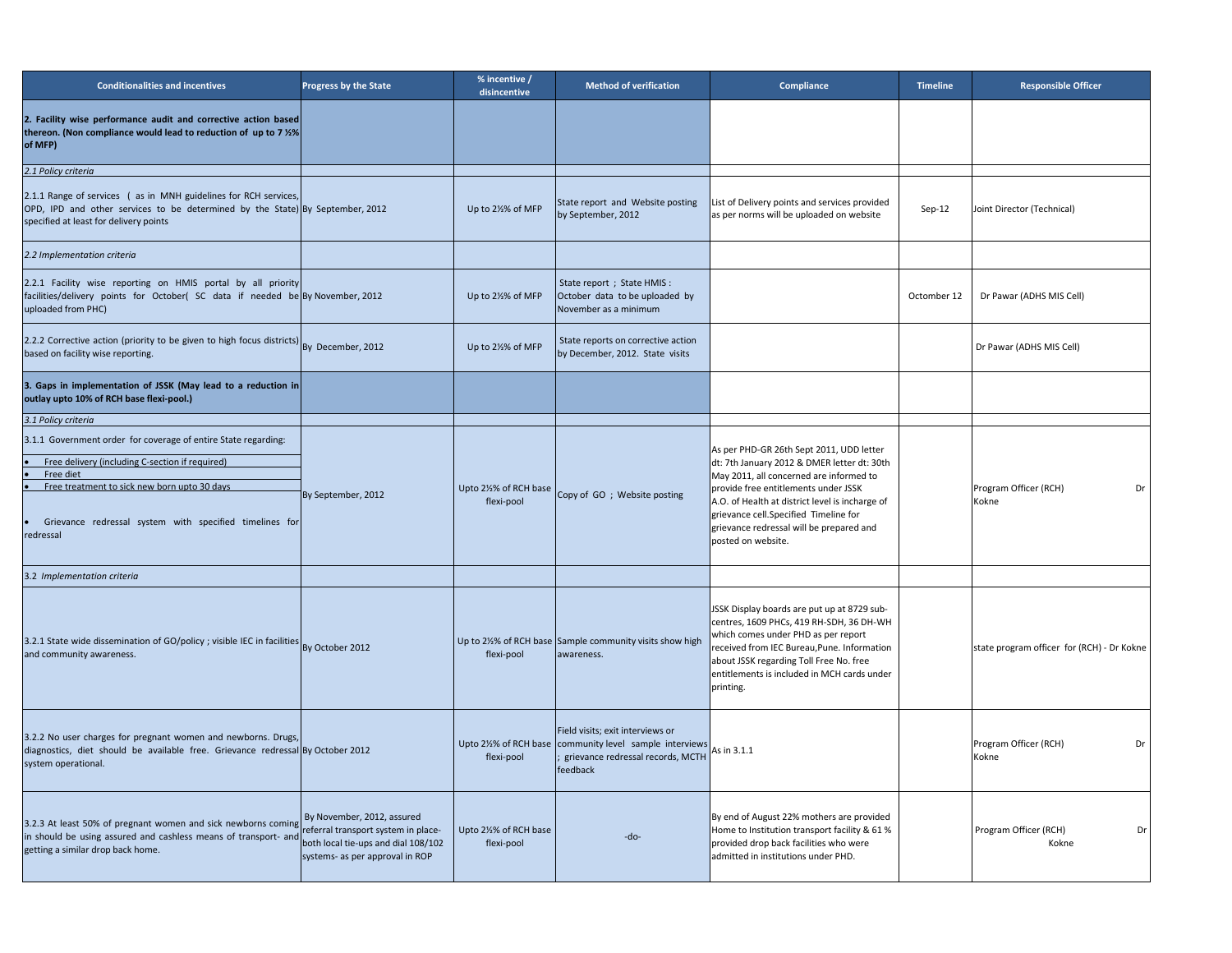| <b>Conditionalities and incentives</b>                                                                                                                                                                                                                                                                                                      | <b>Progress by the State</b>    | % incentive /<br>disincentive      | <b>Method of verification</b>                                                                                                                             | <b>Compliance</b>                                                                                                                                                                                                                                                                                                                        | <b>Timeline</b> | <b>Responsible Officer</b>                 |
|---------------------------------------------------------------------------------------------------------------------------------------------------------------------------------------------------------------------------------------------------------------------------------------------------------------------------------------------|---------------------------------|------------------------------------|-----------------------------------------------------------------------------------------------------------------------------------------------------------|------------------------------------------------------------------------------------------------------------------------------------------------------------------------------------------------------------------------------------------------------------------------------------------------------------------------------------------|-----------------|--------------------------------------------|
| 2. Facility wise performance audit and corrective action based<br>thereon. (Non compliance would lead to reduction of up to 7 %%)<br>of MFP)                                                                                                                                                                                                |                                 |                                    |                                                                                                                                                           |                                                                                                                                                                                                                                                                                                                                          |                 |                                            |
| 2.1 Policy criteria                                                                                                                                                                                                                                                                                                                         |                                 |                                    |                                                                                                                                                           |                                                                                                                                                                                                                                                                                                                                          |                 |                                            |
| 2.1.1 Range of services (as in MNH guidelines for RCH services,<br>OPD, IPD and other services to be determined by the State) By September, 2012<br>specified at least for delivery points                                                                                                                                                  |                                 | Up to 21% of MFP                   | State report and Website posting<br>by September, 2012                                                                                                    | List of Delivery points and services provided<br>as per norms will be uploaded on website                                                                                                                                                                                                                                                | Sep-12          | Joint Director (Technical)                 |
| 2.2 Implementation criteria                                                                                                                                                                                                                                                                                                                 |                                 |                                    |                                                                                                                                                           |                                                                                                                                                                                                                                                                                                                                          |                 |                                            |
| 2.2.1 Facility wise reporting on HMIS portal by all priority<br>facilities/delivery points for October( SC data if needed be By November, 2012<br>uploaded from PHC)                                                                                                                                                                        |                                 | Up to 2½% of MFP                   | State report ; State HMIS :<br>October data to be uploaded by<br>November as a minimum                                                                    |                                                                                                                                                                                                                                                                                                                                          | Octomber 12     | Dr Pawar (ADHS MIS Cell)                   |
| 2.2.2 Corrective action (priority to be given to high focus districts) By December, 2012<br>based on facility wise reporting.                                                                                                                                                                                                               |                                 | Up to 2½% of MFP                   | State reports on corrective action<br>by December, 2012. State visits                                                                                     |                                                                                                                                                                                                                                                                                                                                          |                 | Dr Pawar (ADHS MIS Cell)                   |
| 3. Gaps in implementation of JSSK (May lead to a reduction in<br>outlay upto 10% of RCH base flexi-pool.)                                                                                                                                                                                                                                   |                                 |                                    |                                                                                                                                                           |                                                                                                                                                                                                                                                                                                                                          |                 |                                            |
| 3.1 Policy criteria                                                                                                                                                                                                                                                                                                                         |                                 |                                    |                                                                                                                                                           |                                                                                                                                                                                                                                                                                                                                          |                 |                                            |
| 3.1.1 Government order for coverage of entire State regarding:<br>Free delivery (including C-section if required)<br>Free diet                                                                                                                                                                                                              |                                 | flexi-pool                         | Upto 2½% of RCH base $\vert$ Copy of GO ; Website posting                                                                                                 | As per PHD-GR 26th Sept 2011, UDD letter<br>dt: 7th January 2012 & DMER letter dt: 30th<br>May 2011, all concerned are informed to<br>provide free entitlements under JSSK<br>A.O. of Health at district level is incharge of<br>grievance cell.Specified Timeline for<br>grievance redressal will be prepared and<br>posted on website. |                 | Program Officer (RCH)<br>Dr<br>Kokne       |
| Free treatment to sick new born upto 30 days<br>Grievance redressal system with specified timelines for<br>redressal                                                                                                                                                                                                                        | By September, 2012              |                                    |                                                                                                                                                           |                                                                                                                                                                                                                                                                                                                                          |                 |                                            |
| 3.2 Implementation criteria                                                                                                                                                                                                                                                                                                                 |                                 |                                    |                                                                                                                                                           |                                                                                                                                                                                                                                                                                                                                          |                 |                                            |
| 3.2.1 State wide dissemination of GO/policy ; visible IEC in facilities By October 2012<br>and community awareness.                                                                                                                                                                                                                         |                                 | flexi-pool                         | Up to 2½% of RCH base Sample community visits show high<br>awareness.                                                                                     | JSSK Display boards are put up at 8729 sub-<br>centres, 1609 PHCs, 419 RH-SDH, 36 DH-WH<br>which comes under PHD as per report<br>received from IEC Bureau, Pune. Information<br>about JSSK regarding Toll Free No. free<br>entitlements is included in MCH cards under<br>printing.                                                     |                 | state program officer for (RCH) - Dr Kokne |
| 3.2.2 No user charges for pregnant women and newborns. Drugs,<br>diagnostics, diet should be available free. Grievance redressal By October 2012<br>system operational.                                                                                                                                                                     |                                 | flexi-pool                         | Field visits; exit interviews or<br>Upto 2½% of RCH base community level sample interviews As in 3.1.1<br>; grievance redressal records, MCTH<br>feedback |                                                                                                                                                                                                                                                                                                                                          |                 | Program Officer (RCH)<br>Dr<br>Kokne       |
| 3.2.3 At least 50% of pregnant women and sick newborns coming By November, 2012, assured<br>in should be using assumed and sashlass magne of transport, and referral transport system in place-<br>in should be using assured and cashless means of transport- and both local tie-ups and dial 108/102<br>getting a similar drop back home. | systems- as per approval in ROP | Upto 2½% of RCH base<br>flexi-pool | $-do-$                                                                                                                                                    | By end of August 22% mothers are provided<br>Home to Institution transport facility & 61 %<br>provided drop back facilities who were<br>admitted in institutions under PHD.                                                                                                                                                              |                 | Program Officer (RCH)<br>Dr<br>Kokne       |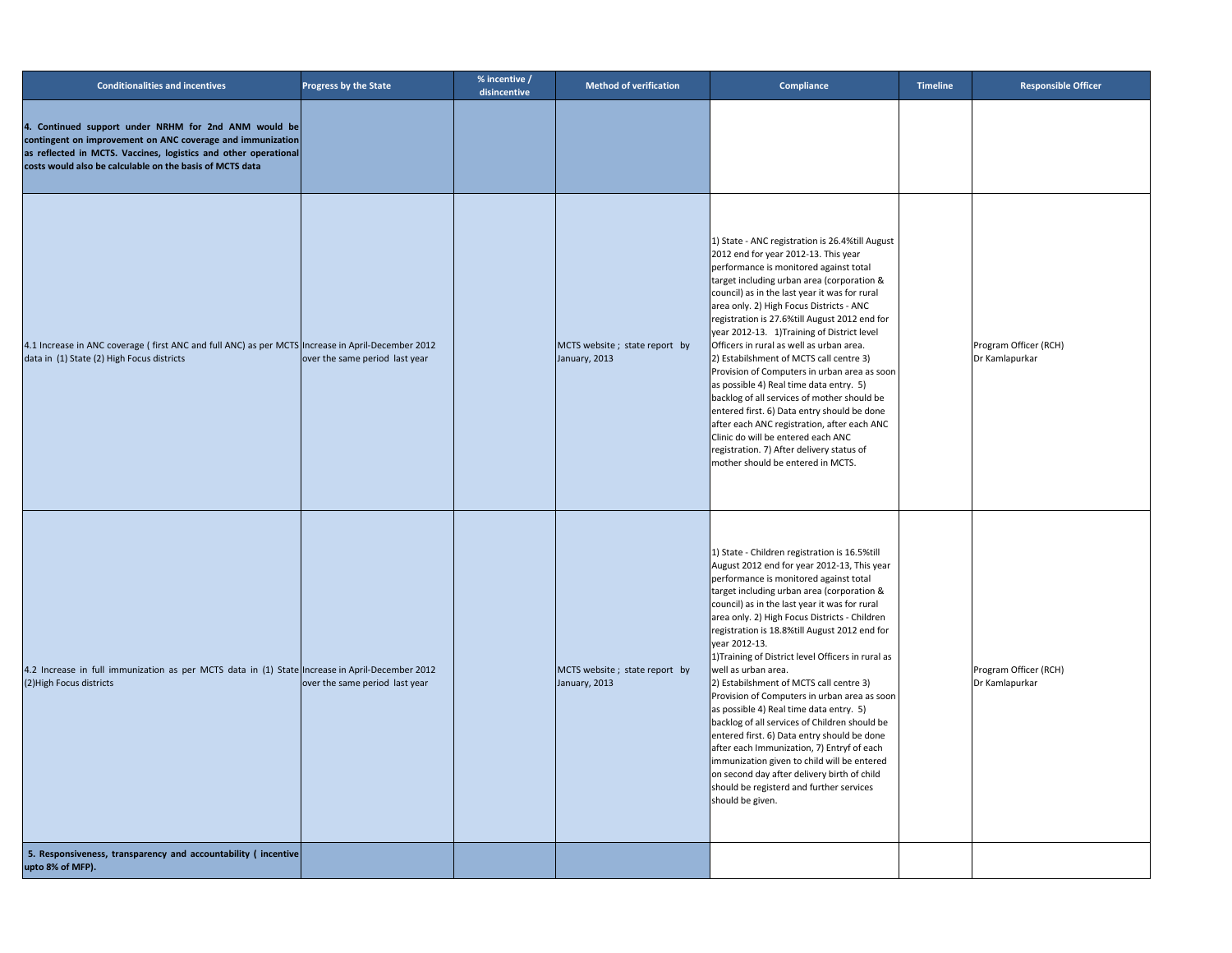| <b>Conditionalities and incentives</b>                                                                                                                                                                                                            | <b>Progress by the State</b>   | % incentive /<br>disincentive | Method of verification                         | <b>Compliance</b>                                                                                                                                                                                                                                                                                                                                                                                                                                                                                                                                                                                                                                                                                                                                                                                                                                                                        | <b>Timeline</b> | <b>Responsible Officer</b>              |
|---------------------------------------------------------------------------------------------------------------------------------------------------------------------------------------------------------------------------------------------------|--------------------------------|-------------------------------|------------------------------------------------|------------------------------------------------------------------------------------------------------------------------------------------------------------------------------------------------------------------------------------------------------------------------------------------------------------------------------------------------------------------------------------------------------------------------------------------------------------------------------------------------------------------------------------------------------------------------------------------------------------------------------------------------------------------------------------------------------------------------------------------------------------------------------------------------------------------------------------------------------------------------------------------|-----------------|-----------------------------------------|
| 4. Continued support under NRHM for 2nd ANM would be<br>contingent on improvement on ANC coverage and immunization<br>as reflected in MCTS. Vaccines, logistics and other operational<br>costs would also be calculable on the basis of MCTS data |                                |                               |                                                |                                                                                                                                                                                                                                                                                                                                                                                                                                                                                                                                                                                                                                                                                                                                                                                                                                                                                          |                 |                                         |
| 4.1 Increase in ANC coverage (first ANC and full ANC) as per MCTS Increase in April-December 2012<br>data in (1) State (2) High Focus districts                                                                                                   | over the same period last year |                               | MCTS website; state report by<br>January, 2013 | 1) State - ANC registration is 26.4%till August<br>2012 end for year 2012-13. This year<br>performance is monitored against total<br>target including urban area (corporation &<br>council) as in the last year it was for rural<br>area only. 2) High Focus Districts - ANC<br>registration is 27.6%till August 2012 end for<br>year 2012-13. 1)Training of District level<br>Officers in rural as well as urban area.<br>2) Estabilshment of MCTS call centre 3)<br>Provision of Computers in urban area as soon<br>as possible 4) Real time data entry. 5)<br>backlog of all services of mother should be<br>entered first. 6) Data entry should be done<br>after each ANC registration, after each ANC<br>Clinic do will be entered each ANC<br>registration. 7) After delivery status of<br>mother should be entered in MCTS.                                                       |                 | Program Officer (RCH)<br>Dr Kamlapurkar |
| 4.2 Increase in full immunization as per MCTS data in (1) State Increase in April-December 2012<br>(2) High Focus districts                                                                                                                       | over the same period last year |                               | MCTS website; state report by<br>January, 2013 | 1) State - Children registration is 16.5% till<br>August 2012 end for year 2012-13, This year<br>performance is monitored against total<br>target including urban area (corporation &<br>council) as in the last year it was for rural<br>area only. 2) High Focus Districts - Children<br>registration is 18.8%till August 2012 end for<br>year 2012-13.<br>1) Training of District level Officers in rural as<br>well as urban area.<br>2) Estabilshment of MCTS call centre 3)<br>Provision of Computers in urban area as soon<br>as possible 4) Real time data entry. 5)<br>backlog of all services of Children should be<br>entered first. 6) Data entry should be done<br>after each Immunization, 7) Entryf of each<br>immunization given to child will be entered<br>on second day after delivery birth of child<br>should be registerd and further services<br>should be given. |                 | Program Officer (RCH)<br>Dr Kamlapurkar |
| 5. Responsiveness, transparency and accountability (incentive<br>upto 8% of MFP).                                                                                                                                                                 |                                |                               |                                                |                                                                                                                                                                                                                                                                                                                                                                                                                                                                                                                                                                                                                                                                                                                                                                                                                                                                                          |                 |                                         |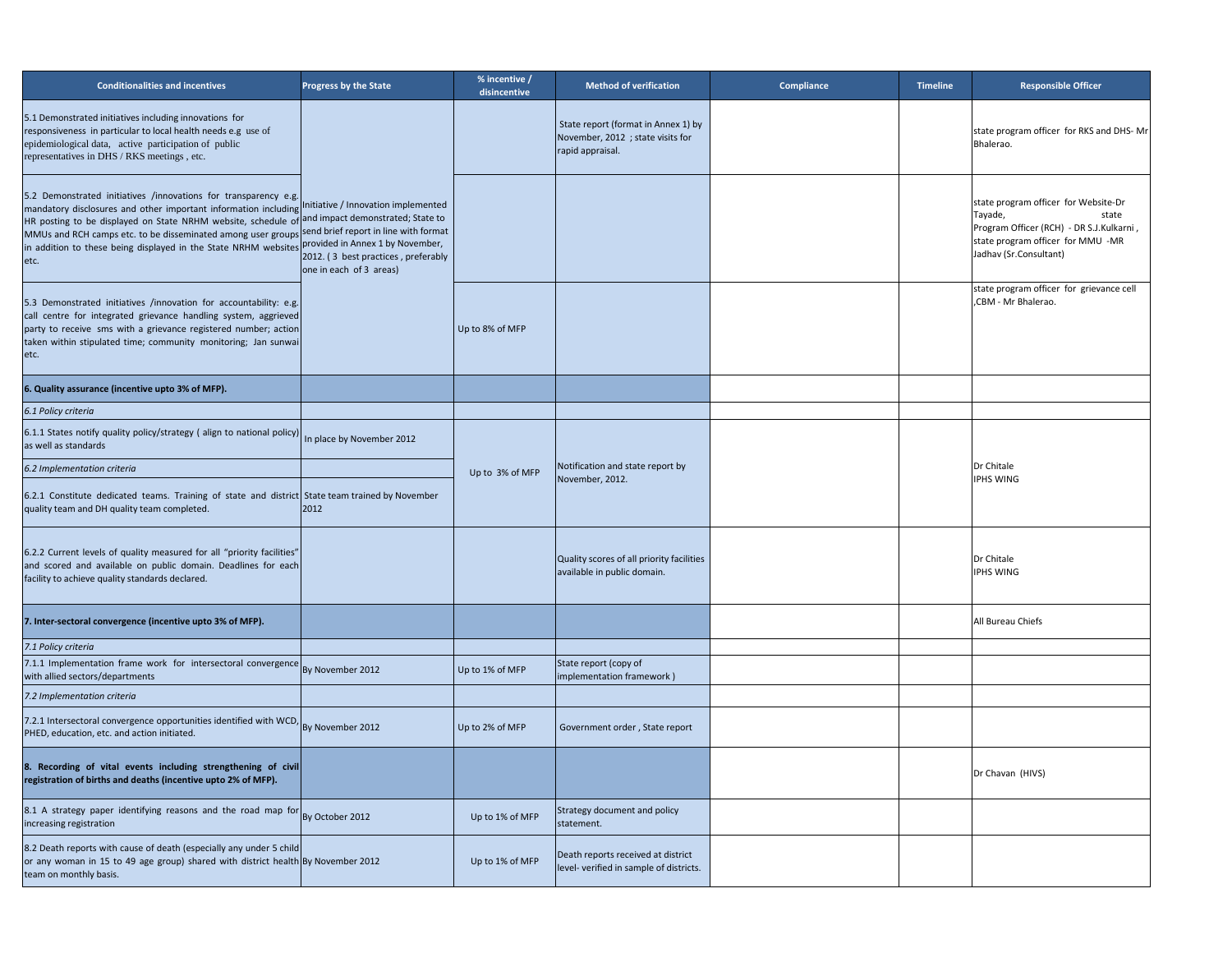| <b>Conditionalities and incentives</b>                                                                                                                                                                                                                                                                                                                                               | <b>Progress by the State</b>                                                                                                                                                   | % incentive /<br>disincentive | <b>Method of verification</b>                                                                | <b>Compliance</b> | <b>Timeline</b> | <b>Responsible Officer</b>                                                                                                                                          |
|--------------------------------------------------------------------------------------------------------------------------------------------------------------------------------------------------------------------------------------------------------------------------------------------------------------------------------------------------------------------------------------|--------------------------------------------------------------------------------------------------------------------------------------------------------------------------------|-------------------------------|----------------------------------------------------------------------------------------------|-------------------|-----------------|---------------------------------------------------------------------------------------------------------------------------------------------------------------------|
| 5.1 Demonstrated initiatives including innovations for<br>responsiveness in particular to local health needs e.g use of<br>epidemiological data, active participation of public<br>representatives in DHS / RKS meetings, etc.                                                                                                                                                       |                                                                                                                                                                                |                               | State report (format in Annex 1) by<br>November, 2012 ; state visits for<br>rapid appraisal. |                   |                 | state program officer for RKS and DHS-Mr<br>Bhalerao.                                                                                                               |
| 5.2 Demonstrated initiatives /innovations for transparency e.g.<br>mandatory disclosures and other important information including<br>HR posting to be displayed on State NRHM website, schedule of<br>MMUs and RCH camps etc. to be disseminated among user groups send brief report in line with format<br>in addition to these being displayed in the State NRHM websites<br>etc. | Initiative / Innovation implemented<br>and impact demonstrated; State to<br>provided in Annex 1 by November,<br>2012. (3 best practices, preferably<br>one in each of 3 areas) |                               |                                                                                              |                   |                 | state program officer for Website-Dr<br>Tayade,<br>state<br>Program Officer (RCH) - DR S.J.Kulkarni,<br>state program officer for MMU -MR<br>Jadhav (Sr.Consultant) |
| [5.3 Demonstrated initiatives /innovation for accountability: e.g.]<br>call centre for integrated grievance handling system, aggrieved<br>party to receive sms with a grievance registered number; action<br>taken within stipulated time; community monitoring; Jan sunwai<br>etc.                                                                                                  |                                                                                                                                                                                | Up to 8% of MFP               |                                                                                              |                   |                 | state program officer for grievance cell<br>CBM - Mr Bhalerao.                                                                                                      |
| 6. Quality assurance (incentive upto 3% of MFP).                                                                                                                                                                                                                                                                                                                                     |                                                                                                                                                                                |                               |                                                                                              |                   |                 |                                                                                                                                                                     |
| 6.1 Policy criteria                                                                                                                                                                                                                                                                                                                                                                  |                                                                                                                                                                                |                               |                                                                                              |                   |                 |                                                                                                                                                                     |
| 6.1.1 States notify quality policy/strategy (align to national policy) In place by November 2012<br>as well as standards                                                                                                                                                                                                                                                             |                                                                                                                                                                                |                               |                                                                                              |                   |                 |                                                                                                                                                                     |
| 6.2 Implementation criteria                                                                                                                                                                                                                                                                                                                                                          |                                                                                                                                                                                | Up to 3% of MFP               | Notification and state report by                                                             |                   |                 | Dr Chitale                                                                                                                                                          |
| $6.2.1$ Constitute dedicated teams. Training of state and district State team trained by November<br>quality team and DH quality team completed.                                                                                                                                                                                                                                     | 2012                                                                                                                                                                           |                               | November, 2012.                                                                              |                   |                 | <b>IPHS WING</b>                                                                                                                                                    |
| 6.2.2 Current levels of quality measured for all "priority facilities"<br>and scored and available on public domain. Deadlines for each<br>facility to achieve quality standards declared.                                                                                                                                                                                           |                                                                                                                                                                                |                               | Quality scores of all priority facilities<br>available in public domain.                     |                   |                 | Dr Chitale<br><b>IPHS WING</b>                                                                                                                                      |
| 7. Inter-sectoral convergence (incentive upto 3% of MFP).                                                                                                                                                                                                                                                                                                                            |                                                                                                                                                                                |                               |                                                                                              |                   |                 | All Bureau Chiefs                                                                                                                                                   |
| 7.1 Policy criteria                                                                                                                                                                                                                                                                                                                                                                  |                                                                                                                                                                                |                               |                                                                                              |                   |                 |                                                                                                                                                                     |
| 7.1.1 Implementation frame work for intersectoral convergence<br>with allied sectors/departments                                                                                                                                                                                                                                                                                     | By November 2012                                                                                                                                                               | Up to 1% of MFP               | State report (copy of<br>(implementation framework)                                          |                   |                 |                                                                                                                                                                     |
| 7.2 Implementation criteria                                                                                                                                                                                                                                                                                                                                                          |                                                                                                                                                                                |                               |                                                                                              |                   |                 |                                                                                                                                                                     |
| 7.2.1 Intersectoral convergence opportunities identified with WCD, By November 2012<br>PHED, education, etc. and action initiated.                                                                                                                                                                                                                                                   |                                                                                                                                                                                | Up to 2% of MFP               | Government order, State report                                                               |                   |                 |                                                                                                                                                                     |
| 8. Recording of vital events including strengthening of civil<br>registration of births and deaths (incentive upto 2% of MFP).                                                                                                                                                                                                                                                       |                                                                                                                                                                                |                               |                                                                                              |                   |                 | Dr Chavan (HIVS)                                                                                                                                                    |
| 8.1 A strategy paper identifying reasons and the road map for By October 2012<br>increasing registration                                                                                                                                                                                                                                                                             |                                                                                                                                                                                | Up to 1% of MFP               | Strategy document and policy<br>statement.                                                   |                   |                 |                                                                                                                                                                     |
| 8.2 Death reports with cause of death (especially any under 5 child<br>or any woman in 15 to 49 age group) shared with district health By November 2012<br>team on monthly basis.                                                                                                                                                                                                    |                                                                                                                                                                                | Up to 1% of MFP               | Death reports received at district<br>level- verified in sample of districts.                |                   |                 |                                                                                                                                                                     |